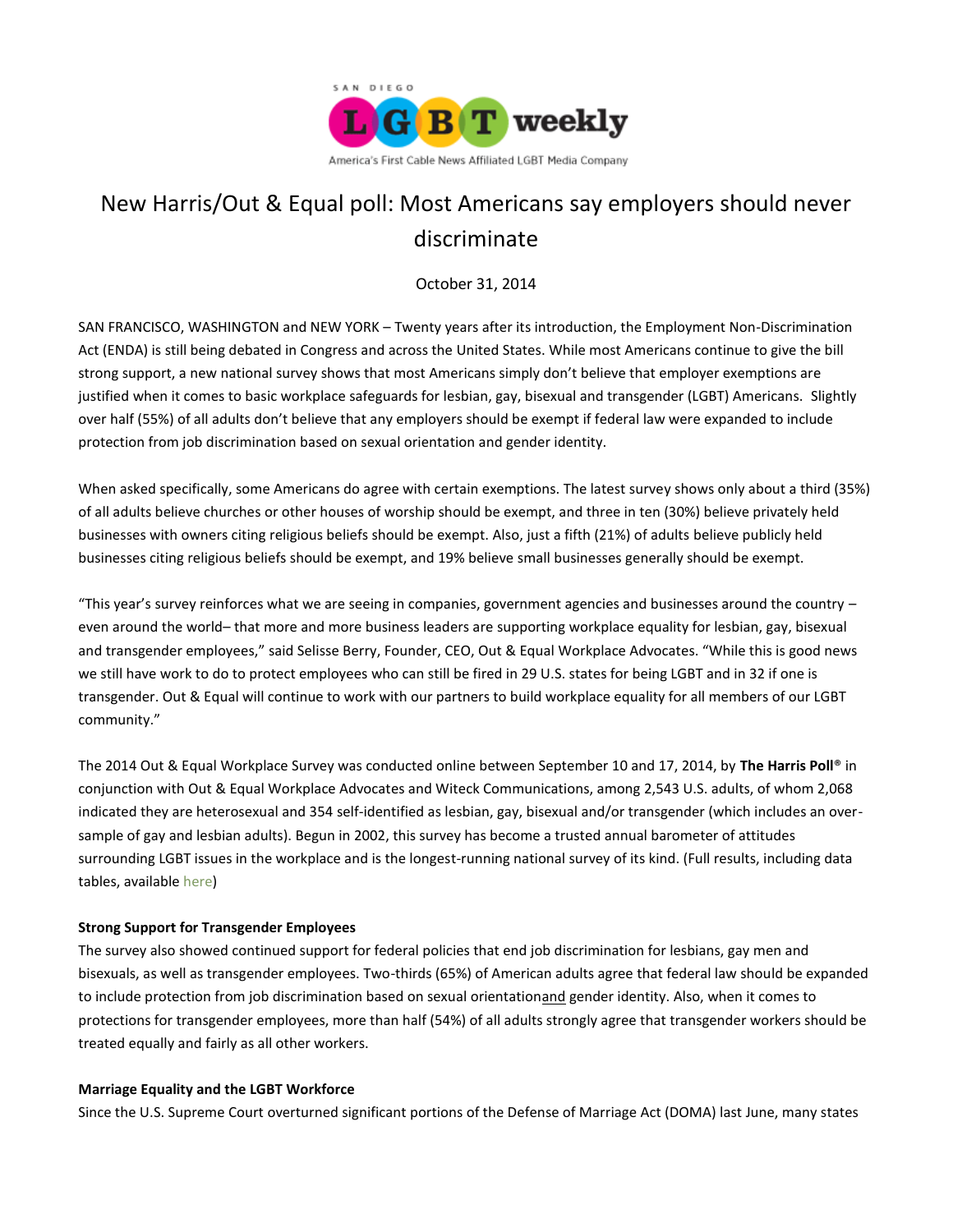

# New Harris/Out & Equal poll: Most Americans say employers should never discriminate

October 31, 2014

SAN FRANCISCO, WASHINGTON and NEW YORK – Twenty years after its introduction, the Employment Non-Discrimination Act (ENDA) is still being debated in Congress and across the United States. While most Americans continue to give the bill strong support, a new national survey shows that most Americans simply don't believe that employer exemptions are justified when it comes to basic workplace safeguards for lesbian, gay, bisexual and transgender (LGBT) Americans. Slightly over half (55%) of all adults don't believe that any employers should be exempt if federal law were expanded to include protection from job discrimination based on sexual orientation and gender identity.

When asked specifically, some Americans do agree with certain exemptions. The latest survey shows only about a third (35%) of all adults believe churches or other houses of worship should be exempt, and three in ten (30%) believe privately held businesses with owners citing religious beliefs should be exempt. Also, just a fifth (21%) of adults believe publicly held businesses citing religious beliefs should be exempt, and 19% believe small businesses generally should be exempt.

"This year's survey reinforces what we are seeing in companies, government agencies and businesses around the country  $$ even around the world– that more and more business leaders are supporting workplace equality for lesbian, gay, bisexual and transgender employees," said Selisse Berry, Founder, CEO, Out & Equal Workplace Advocates. "While this is good news we still have work to do to protect employees who can still be fired in 29 U.S. states for being LGBT and in 32 if one is transgender. Out & Equal will continue to work with our partners to build workplace equality for all members of our LGBT community."

The 2014 Out & Equal Workplace Survey was conducted online between September 10 and 17, 2014, by **The Harris Poll**® in conjunction with Out & Equal Workplace Advocates and Witeck Communications, among 2,543 U.S. adults, of whom 2,068 indicated they are heterosexual and 354 self-identified as lesbian, gay, bisexual and/or transgender (which includes an oversample of gay and lesbian adults). Begun in 2002, this survey has become a trusted annual barometer of attitudes surrounding LGBT issues in the workplace and is the longest-running national survey of its kind. (Full results, including data tables, available [here\)](http://www.harrisinteractive.com/NewsRoom/HarrisPolls/tabid/447/ctl/ReadCustom%20Default/mid/1508/ArticleId/1514/Default.aspx)

# **Strong Support for Transgender Employees**

The survey also showed continued support for federal policies that end job discrimination for lesbians, gay men and bisexuals, as well as transgender employees. Two-thirds (65%) of American adults agree that federal law should be expanded to include protection from job discrimination based on sexual orientationand gender identity. Also, when it comes to protections for transgender employees, more than half (54%) of all adults strongly agree that transgender workers should be treated equally and fairly as all other workers.

# **Marriage Equality and the LGBT Workforce**

Since the U.S. Supreme Court overturned significant portions of the Defense of Marriage Act (DOMA) last June, many states